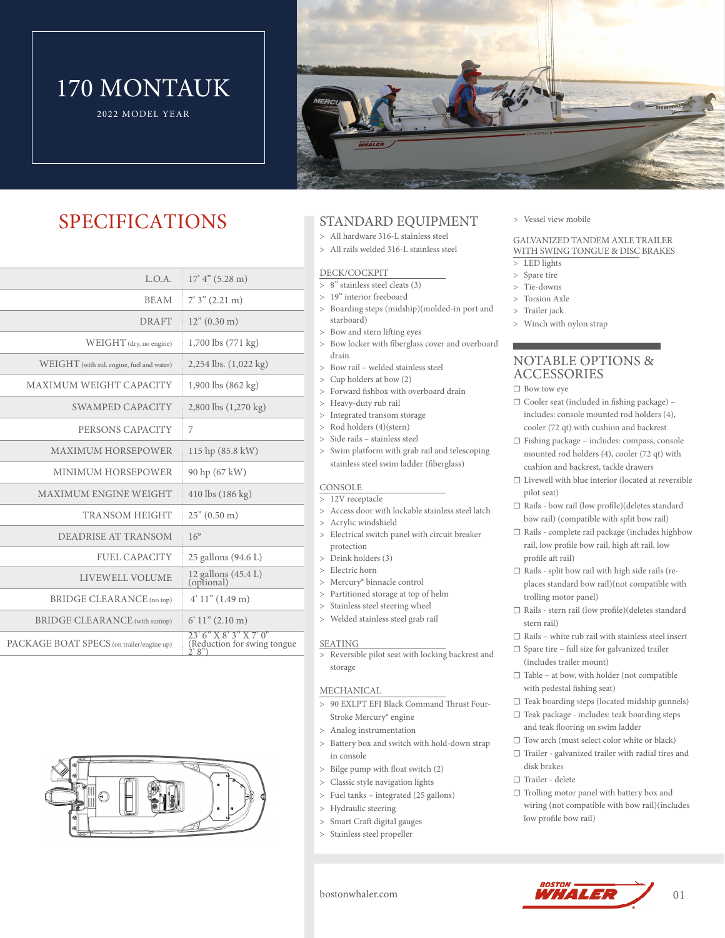# 170 MONTAUK

2022 MODEL YEAR



### SPECIFICATIONS

| 17' 4'' (5.28 m)                                                     |
|----------------------------------------------------------------------|
| $7'3''(2.21)$ m)                                                     |
| $12"$ (0.30 m)                                                       |
| 1,700 lbs (771 kg)                                                   |
| 2,254 lbs. $(1,022 \text{ kg})$                                      |
| $1,900$ lbs $(862 \text{ kg})$                                       |
| 2,800 lbs (1,270 kg)                                                 |
| 7                                                                    |
| 115 hp (85.8 kW)                                                     |
| 90 hp (67 kW)                                                        |
| $410$ lbs $(186 \text{ kg})$                                         |
| $25$ " (0.50 m)                                                      |
| $16^{\circ}$                                                         |
| 25 gallons (94.6 L)                                                  |
| 12 gallons (45.4 L)<br>(optional)                                    |
| 4' 11'' (1.49 m)                                                     |
| 6' 11'' (2.10 m)                                                     |
| $23'6''$ X $8'3''$ X $7'0''$<br>(Reduction for swing tongue)<br>2'8" |
|                                                                      |



### STANDARD EQUIPMENT

- All hardware 316-L stainless steel
- All rails welded 316-L stainless steel

### DECK/COCKPIT

- 8" stainless steel cleats (3)
- 19" interior freeboard
- Boarding steps (midship)(molded-in port and
- starboard) Bow and stern lifting eyes
- > Bow locker with fiberglass cover and overboard drain
- Bow rail welded stainless steel
- Cup holders at bow (2)
- > Forward fishbox with overboard drain
- > Heavy-duty rub rail
- > Integrated transom storage
- Rod holders (4)(stern)
- > Side rails stainless steel
- > Swim platform with grab rail and telescoping stainless steel swim ladder (fiberglass)

### **CONSOLE**

- > 12V receptacle
- > Access door with lockable stainless steel latch
- Acrylic windshield
- Electrical switch panel with circuit breaker protection
- Drink holders (3)
- > Electric horn
- > Mercury<sup>®</sup> binnacle control
- Partitioned storage at top of helm
- > Stainless steel steering wheel
- Welded stainless steel grab rail

### SEATING

> Reversible pilot seat with locking backrest and storage

### MECHANICAL

- 90 EXLPT EFI Black Command Thrust Four-Stroke Mercury® engine
- Analog instrumentation
- > Battery box and switch with hold-down strap in console
- Bilge pump with float switch (2)
- Classic style navigation lights
- Fuel tanks integrated (25 gallons)
- > Hydraulic steering
- Smart Craft digital gauges
- Stainless steel propeller

### Vessel view mobile

### GALVANIZED TANDEM AXLE TRAILER WITH SWING TONGUE & DISC BRAKES

- LED lights
- > Spare tire
- Tie-downs
- Torsion Axle
- > Trailer jack
- Winch with nylon strap

### NOTABLE OPTIONS & ACCESSORIES

- $\Box$  Bow tow eye
- $\Box$  Cooler seat (included in fishing package) includes: console mounted rod holders (4), cooler (72 qt) with cushion and backrest
- ☐ Fishing package includes: compass, console mounted rod holders (4), cooler (72 qt) with cushion and backrest, tackle drawers
- ☐ Livewell with blue interior (located at reversible pilot seat)
- ☐ Rails bow rail (low profile)(deletes standard bow rail) (compatible with split bow rail)
- ☐ Rails complete rail package (includes highbow rail, low profile bow rail, high aft rail, low profile aft rail)
- ☐ Rails split bow rail with high side rails (replaces standard bow rail)(not compatible with trolling motor panel)
- ☐ Rails stern rail (low profile)(deletes standard stern rail)
- $\Box$  Rails white rub rail with stainless steel insert
- ☐ Spare tire full size for galvanized trailer (includes trailer mount)
- ☐ Table at bow, with holder (not compatible with pedestal fishing seat)
- ☐ Teak boarding steps (located midship gunnels)
- ☐ Teak package includes: teak boarding steps and teak flooring on swim ladder
- ☐ Tow arch (must select color white or black)
- ☐ Trailer galvanized trailer with radial tires and disk brakes
- ☐ Trailer delete
- ☐ Trolling motor panel with battery box and wiring (not compatible with bow rail)(includes low profile bow rail)